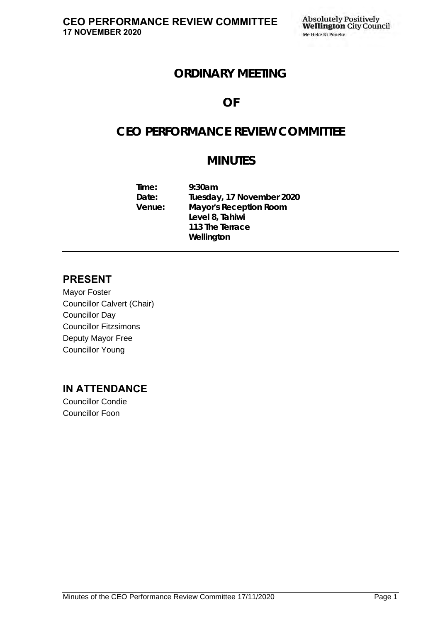## **ORDINARY MEETING**

## **OF**

# **CEO PERFORMANCE REVIEW COMMITTEE**

# **MINUTES**

**Time: 9:30am Date: Tuesday, 17 November 2020 Venue: Mayor's Reception Room Level 8, Tahiwi 113 The Terrace Wellington**

### **PRESENT**

Mayor Foster Councillor Calvert (Chair) Councillor Day Councillor Fitzsimons Deputy Mayor Free Councillor Young

## **IN ATTENDANCE**

Councillor Condie Councillor Foon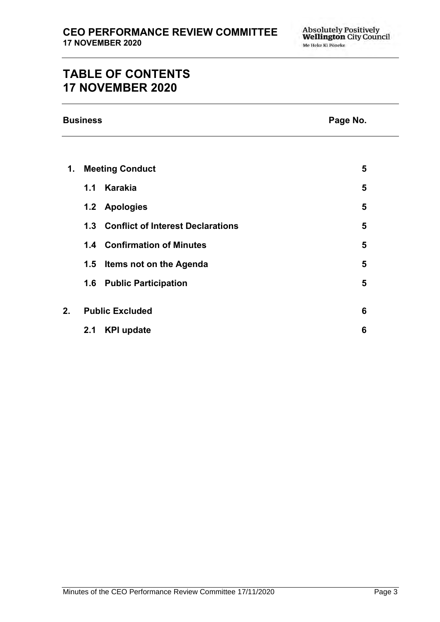# **TABLE OF CONTENTS 17 NOVEMBER 2020**

| <b>Business</b> |  |
|-----------------|--|
|-----------------|--|

### **Page No.**

| 1.                           | <b>Meeting Conduct</b> |                                       |   |  |
|------------------------------|------------------------|---------------------------------------|---|--|
|                              | 1.1                    | <b>Karakia</b>                        | 5 |  |
|                              |                        | 1.2 Apologies                         | 5 |  |
|                              |                        | 1.3 Conflict of Interest Declarations | 5 |  |
|                              |                        | 1.4 Confirmation of Minutes           | 5 |  |
|                              | 1.5                    | Items not on the Agenda               | 5 |  |
|                              | 1.6                    | <b>Public Participation</b>           | 5 |  |
|                              |                        |                                       |   |  |
| 2.<br><b>Public Excluded</b> |                        |                                       |   |  |
|                              | 2.1                    | <b>KPI update</b>                     | 6 |  |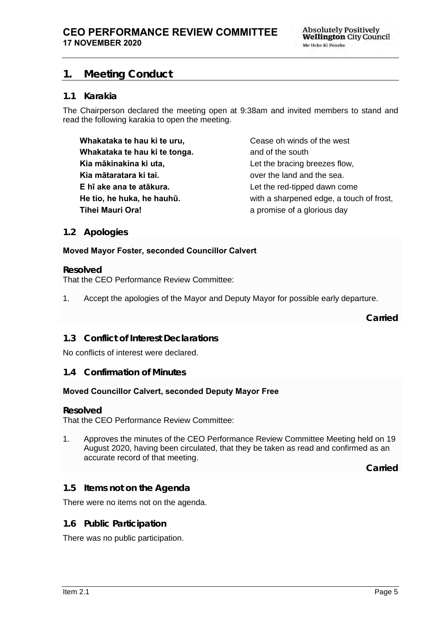### <span id="page-4-0"></span>**1. Meeting Conduct**

#### **1.1 Karakia**

The Chairperson declared the meeting open at 9:38am and invited members to stand and read the following karakia to open the meeting.

**Whakataka te hau ki te uru, Whakataka te hau ki te tonga. Kia mākinakina ki uta, Kia mātaratara ki tai. E hī ake ana te atākura. He tio, he huka, he hauhū. Tihei Mauri Ora!**

Cease oh winds of the west and of the south Let the bracing breezes flow, over the land and the sea. Let the red-tipped dawn come with a sharpened edge, a touch of frost, a promise of a glorious day

#### <span id="page-4-1"></span>**1.2 Apologies**

#### **Moved Mayor Foster, seconded Councillor Calvert**

#### **Resolved**

That the CEO Performance Review Committee:

1. Accept the apologies of the Mayor and Deputy Mayor for possible early departure.

**Carried**

#### <span id="page-4-2"></span>**1.3 Conflict of Interest Declarations**

No conflicts of interest were declared.

#### <span id="page-4-3"></span>**1.4 Confirmation of Minutes**

#### **Moved Councillor Calvert, seconded Deputy Mayor Free**

#### **Resolved**

That the CEO Performance Review Committee:

1. Approves the minutes of the CEO Performance Review Committee Meeting held on 19 August 2020, having been circulated, that they be taken as read and confirmed as an accurate record of that meeting.

**Carried**

#### <span id="page-4-4"></span>**1.5 Items not on the Agenda**

There were no items not on the agenda.

**1.6 Public Participation**

There was no public participation.